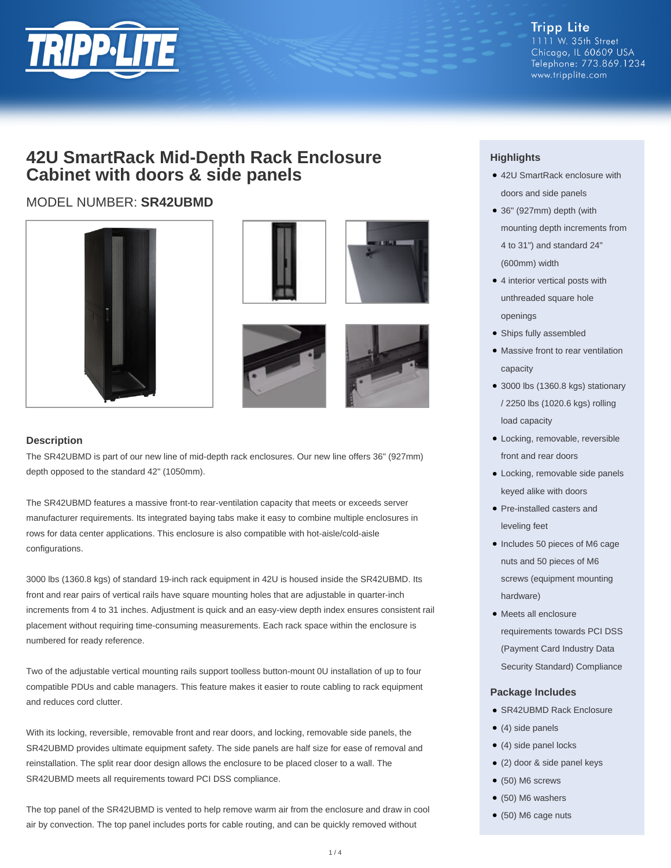

**Tripp Lite** 1111 W. 35th Street Chicago, IL 60609 USA Telephone: 773.869.1234 www.tripplite.com

# **42U SmartRack Mid-Depth Rack Enclosure Cabinet with doors & side panels**

## MODEL NUMBER: **SR42UBMD**







### **Description**

The SR42UBMD is part of our new line of mid-depth rack enclosures. Our new line offers 36" (927mm) depth opposed to the standard 42" (1050mm).

The SR42UBMD features a massive front-to rear-ventilation capacity that meets or exceeds server manufacturer requirements. Its integrated baying tabs make it easy to combine multiple enclosures in rows for data center applications. This enclosure is also compatible with hot-aisle/cold-aisle configurations.

3000 lbs (1360.8 kgs) of standard 19-inch rack equipment in 42U is housed inside the SR42UBMD. Its front and rear pairs of vertical rails have square mounting holes that are adjustable in quarter-inch increments from 4 to 31 inches. Adjustment is quick and an easy-view depth index ensures consistent rail placement without requiring time-consuming measurements. Each rack space within the enclosure is numbered for ready reference.

Two of the adjustable vertical mounting rails support toolless button-mount 0U installation of up to four compatible PDUs and cable managers. This feature makes it easier to route cabling to rack equipment and reduces cord clutter.

With its locking, reversible, removable front and rear doors, and locking, removable side panels, the SR42UBMD provides ultimate equipment safety. The side panels are half size for ease of removal and reinstallation. The split rear door design allows the enclosure to be placed closer to a wall. The SR42UBMD meets all requirements toward PCI DSS compliance.

The top panel of the SR42UBMD is vented to help remove warm air from the enclosure and draw in cool air by convection. The top panel includes ports for cable routing, and can be quickly removed without

### **Highlights**

- 42U SmartRack enclosure with doors and side panels
- 36" (927mm) depth (with mounting depth increments from 4 to 31") and standard 24" (600mm) width
- 4 interior vertical posts with unthreaded square hole openings
- Ships fully assembled
- Massive front to rear ventilation capacity
- 3000 lbs (1360.8 kgs) stationary / 2250 lbs (1020.6 kgs) rolling load capacity
- Locking, removable, reversible front and rear doors
- Locking, removable side panels keyed alike with doors
- Pre-installed casters and leveling feet
- Includes 50 pieces of M6 cage nuts and 50 pieces of M6 screws (equipment mounting hardware)
- Meets all enclosure requirements towards PCI DSS (Payment Card Industry Data Security Standard) Compliance

#### **Package Includes**

- SR42UBMD Rack Enclosure
- $\bullet$  (4) side panels
- (4) side panel locks
- (2) door & side panel keys
- $\bullet$  (50) M6 screws
- $\bullet$  (50) M6 washers
- (50) M6 cage nuts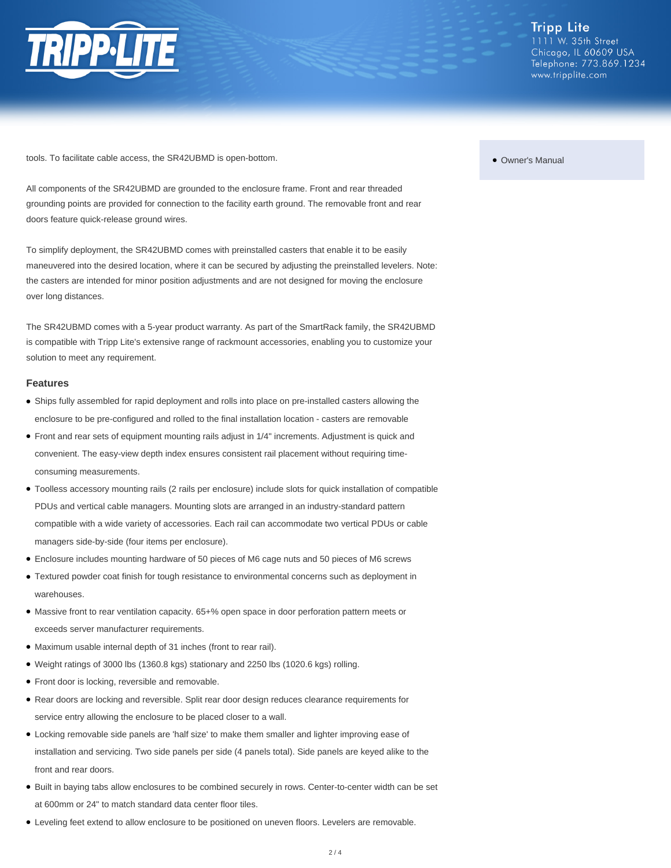

tools. To facilitate cable access, the SR42UBMD is open-bottom.

All components of the SR42UBMD are grounded to the enclosure frame. Front and rear threaded grounding points are provided for connection to the facility earth ground. The removable front and rear doors feature quick-release ground wires.

To simplify deployment, the SR42UBMD comes with preinstalled casters that enable it to be easily maneuvered into the desired location, where it can be secured by adjusting the preinstalled levelers. Note: the casters are intended for minor position adjustments and are not designed for moving the enclosure over long distances.

The SR42UBMD comes with a 5-year product warranty. As part of the SmartRack family, the SR42UBMD is compatible with Tripp Lite's extensive range of rackmount accessories, enabling you to customize your solution to meet any requirement.

#### **Features**

- Ships fully assembled for rapid deployment and rolls into place on pre-installed casters allowing the enclosure to be pre-configured and rolled to the final installation location - casters are removable
- Front and rear sets of equipment mounting rails adjust in 1/4" increments. Adjustment is quick and convenient. The easy-view depth index ensures consistent rail placement without requiring timeconsuming measurements.
- Toolless accessory mounting rails (2 rails per enclosure) include slots for quick installation of compatible PDUs and vertical cable managers. Mounting slots are arranged in an industry-standard pattern compatible with a wide variety of accessories. Each rail can accommodate two vertical PDUs or cable managers side-by-side (four items per enclosure).
- Enclosure includes mounting hardware of 50 pieces of M6 cage nuts and 50 pieces of M6 screws
- Textured powder coat finish for tough resistance to environmental concerns such as deployment in warehouses.
- Massive front to rear ventilation capacity. 65+% open space in door perforation pattern meets or exceeds server manufacturer requirements.
- Maximum usable internal depth of 31 inches (front to rear rail).
- Weight ratings of 3000 lbs (1360.8 kgs) stationary and 2250 lbs (1020.6 kgs) rolling.
- Front door is locking, reversible and removable.
- Rear doors are locking and reversible. Split rear door design reduces clearance requirements for service entry allowing the enclosure to be placed closer to a wall.
- Locking removable side panels are 'half size' to make them smaller and lighter improving ease of installation and servicing. Two side panels per side (4 panels total). Side panels are keyed alike to the front and rear doors.
- Built in baying tabs allow enclosures to be combined securely in rows. Center-to-center width can be set at 600mm or 24" to match standard data center floor tiles.
- Leveling feet extend to allow enclosure to be positioned on uneven floors. Levelers are removable.

#### ● Owner's Manual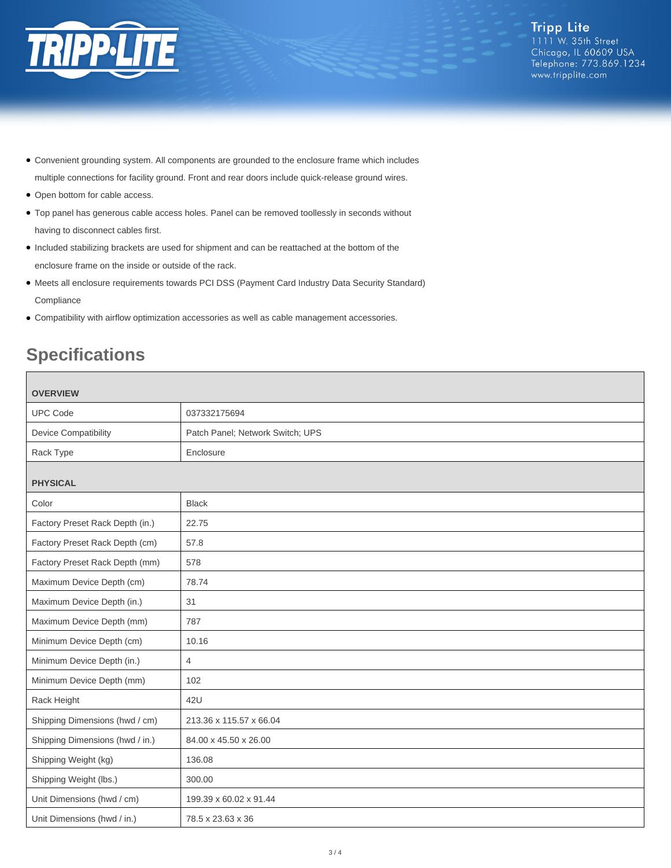

- Convenient grounding system. All components are grounded to the enclosure frame which includes multiple connections for facility ground. Front and rear doors include quick-release ground wires.
- Open bottom for cable access.
- Top panel has generous cable access holes. Panel can be removed toollessly in seconds without having to disconnect cables first.
- Included stabilizing brackets are used for shipment and can be reattached at the bottom of the enclosure frame on the inside or outside of the rack.
- Meets all enclosure requirements towards PCI DSS (Payment Card Industry Data Security Standard) **Compliance**
- Compatibility with airflow optimization accessories as well as cable management accessories.

# **Specifications**

| <b>OVERVIEW</b>                 |                                  |
|---------------------------------|----------------------------------|
| <b>UPC Code</b>                 | 037332175694                     |
| <b>Device Compatibility</b>     | Patch Panel; Network Switch; UPS |
| Rack Type                       | Enclosure                        |
| <b>PHYSICAL</b>                 |                                  |
| Color                           | <b>Black</b>                     |
| Factory Preset Rack Depth (in.) | 22.75                            |
| Factory Preset Rack Depth (cm)  | 57.8                             |
| Factory Preset Rack Depth (mm)  | 578                              |
| Maximum Device Depth (cm)       | 78.74                            |
| Maximum Device Depth (in.)      | 31                               |
| Maximum Device Depth (mm)       | 787                              |
| Minimum Device Depth (cm)       | 10.16                            |
| Minimum Device Depth (in.)      | $\overline{4}$                   |
| Minimum Device Depth (mm)       | 102                              |
| Rack Height                     | 42U                              |
| Shipping Dimensions (hwd / cm)  | 213.36 x 115.57 x 66.04          |
| Shipping Dimensions (hwd / in.) | 84.00 x 45.50 x 26.00            |
| Shipping Weight (kg)            | 136.08                           |
| Shipping Weight (lbs.)          | 300.00                           |
| Unit Dimensions (hwd / cm)      | 199.39 x 60.02 x 91.44           |
| Unit Dimensions (hwd / in.)     | 78.5 x 23.63 x 36                |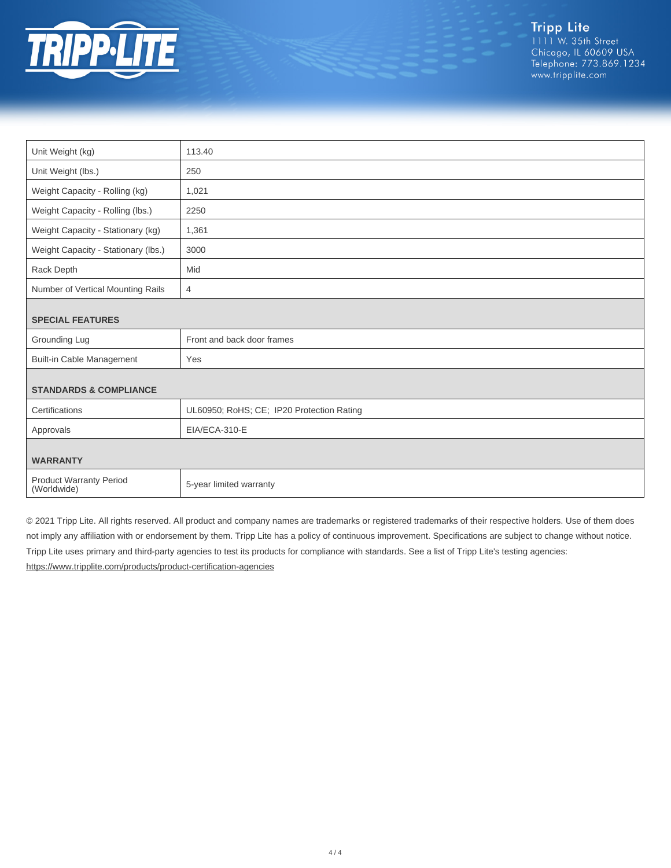

| Unit Weight (kg)                              | 113.40                                    |  |
|-----------------------------------------------|-------------------------------------------|--|
| Unit Weight (lbs.)                            | 250                                       |  |
| Weight Capacity - Rolling (kg)                | 1,021                                     |  |
| Weight Capacity - Rolling (lbs.)              | 2250                                      |  |
| Weight Capacity - Stationary (kg)             | 1,361                                     |  |
| Weight Capacity - Stationary (lbs.)           | 3000                                      |  |
| Rack Depth                                    | Mid                                       |  |
| Number of Vertical Mounting Rails             | 4                                         |  |
| <b>SPECIAL FEATURES</b>                       |                                           |  |
|                                               |                                           |  |
| Grounding Lug                                 | Front and back door frames                |  |
| <b>Built-in Cable Management</b>              | Yes                                       |  |
|                                               |                                           |  |
| <b>STANDARDS &amp; COMPLIANCE</b>             |                                           |  |
| Certifications                                | UL60950; RoHS; CE; IP20 Protection Rating |  |
| Approvals                                     | EIA/ECA-310-E                             |  |
|                                               |                                           |  |
| <b>WARRANTY</b>                               |                                           |  |
| <b>Product Warranty Period</b><br>(Worldwide) | 5-year limited warranty                   |  |

© 2021 Tripp Lite. All rights reserved. All product and company names are trademarks or registered trademarks of their respective holders. Use of them does not imply any affiliation with or endorsement by them. Tripp Lite has a policy of continuous improvement. Specifications are subject to change without notice. Tripp Lite uses primary and third-party agencies to test its products for compliance with standards. See a list of Tripp Lite's testing agencies: <https://www.tripplite.com/products/product-certification-agencies>